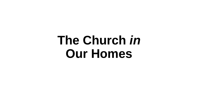# **The Church** *in* **Our Homes**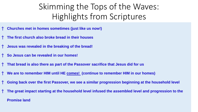## Skimming the Tops of the Waves: Highlights from Scriptures

- † **Churches met in homes sometimes (just like us now!)**
- † **The first church also broke bread in their houses**
- † **Jesus was revealed in the breaking of the bread!**
- † **So Jesus can be revealed in our homes!**
- † **That bread is also there as part of the Passover sacrifice that Jesus did for us**
- † **We are to remember HIM until HE comes! (continue to remember HIM in our homes)**
- † **Going back over the first Passover, we see a similar progression beginning at the household level**
- † **The great impact starting at the household level infused the assembled level and progression to the Promise land**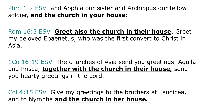### Phm 1:2 ESV and Apphia our sister and Archippus our fellow soldier, **and the church in your house:**

Rom 16:5 ESV **Greet also the church in their house**. Greet my beloved Epaenetus, who was the first convert to Christ in Asia.

1Co 16:19 ESV The churches of Asia send you greetings. Aquila and Prisca, **together with the church in their house,** send you hearty greetings in the Lord.

Col 4:15 ESV Give my greetings to the brothers at Laodicea, and to Nympha **and the church in her house.**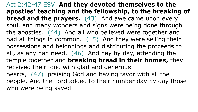Act 2:42-47 ESV **And they devoted themselves to the apostles' teaching and the fellowship, to the breaking of bread and the prayers.** (43) And awe came upon every soul, and many wonders and signs were being done through the apostles. (44) And all who believed were together and had all things in common. (45) And they were selling their possessions and belongings and distributing the proceeds to all, as any had need. (46) And day by day, attending the temple together and **breaking bread in their homes,** they received their food with glad and generous hearts, (47) praising God and having favor with all the people. And the Lord added to their number day by day those who were being saved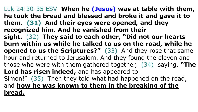Luk 24:30-35 ESV **When he (Jesus) was at table with them, he took the bread and blessed and broke it and gave it to them. (31) And their eyes were opened, and they recognized him. And he vanished from their sight.** (32) T**hey said to each other, "Did not our hearts burn within us while he talked to us on the road, while he opened to us the Scriptures?"** (33) And they rose that same hour and returned to Jerusalem. And they found the eleven and those who were with them gathered together, (34) saying, **"The Lord has risen indeed,** and has appeared to Simon!" (35) Then they told what had happened on the road, and **how he was known to them in the breaking of the bread.**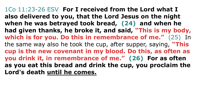1Co 11:23-26 ESV **For I received from the Lord what I also delivered to you, that the Lord Jesus on the night when he was betrayed took bread, (24) and when he had given thanks, he broke it, and said, "This is my body, which is for you. Do this in remembrance of me."** (25) In the same way also he took the cup, after supper, saying, **"This cup is the new covenant in my blood. Do this, as often as you drink it, in remembrance of me." (26) For as often as you eat this bread and drink the cup, you proclaim the Lord's death until he comes.**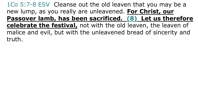1Co 5:7-8 ESV Cleanse out the old leaven that you may be a new lump, as you really are unleavened. **For Christ, our Passover lamb, has been sacrificed. (8) Let us therefore celebrate the festival,** not with the old leaven, the leaven of malice and evil, but with the unleavened bread of sincerity and truth.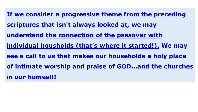**If we consider a progressive theme from the preceding scriptures that isn't always looked at, we may understand the connection of the passover with individual housholds (that's where it started!). We may see a call to us that makes our households a holy place of intimate worship and praise of GOD...and the churches in our homes!!!**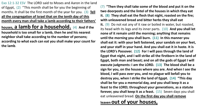Exo 12:1-32 ESV The LORD said to Moses and Aaron in the land of Egypt, (2) "This month shall be for you the beginning of months. It shall be the first month of the year for you. (3) **Tell all the congregation of Israel that on the tenth day of this month every man shall take a lamb according to their fathers' houses, a lamb for a household.** (4) **And if the household is too small for a lamb, then he and his nearest neighbor shall take according to the number of persons; according to what each can eat you shall make your count for** 

**the lamb**.

(7) **"Then they shall take some of the blood and put it on the two doorposts and the lintel of the houses in which they eat it. (8) They shall eat the flesh that night, roasted on the fire; with unleavened bread and bitter herbs they shall eat it.** (9) Do not eat any of it raw or boiled in water, but roasted, its head with its legs and its inner parts. (10) **And you shall let none of it remain until the morning; anything that remains until the morning you shall burn. (11) In this manner you shall eat it: with your belt fastened, your sandals on your feet, and your staff in your hand. And you shall eat it in haste. It is the LORD's Passover. (12) For I will pass through the land of Egypt that night, and I will strike all the firstborn in the land of Egypt, both man and beast; and on all the gods of Egypt I will execute judgments: I am the LORD. (13) The blood shall be a sign for you, on the houses where you are. And when I see the blood, I will pass over you, and no plague will befall you to destroy you, when I strike the land of Egypt. (14) "This day shall be for you a memorial day, and you shall keep it as a feast to the LORD; throughout your generations, as a statute forever, you shall keep it as a feast.** (15) Seven days you shall eat unleavened bread. **On the first day you shall remove** 

#### **leaven out of your houses,**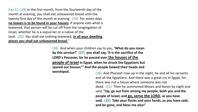Exo 12: (18) In the first month, from the fourteenth day of the month at evening, you shall eat unleavened bread until the twenty-first day of the month at evening. (19) For seven days **no leaven is to be found in your houses**. If anyone eats what is leavened, that person will be cut off from the congregation of Israel, whether he is a sojourner or a native of the land. (20) You shall eat nothing leavened; **in all your dwelling places you shall eat unleavened bread.**"

> (26) And when your children say to you, **'What do you mean by this service?' (27) you shall say, 'It is the sacrifice of the LORD's Passover, for he passed over the houses of the people of Israel in Egypt, when he struck the Egyptians but spared our houses.'" And the people bowed their heads and**

**worshiped. 1993** (30) And Pharaoh rose up in the night, he and all his servants and all the Egyptians. And there was a great cry in Egypt, for there was not a house where someone was not dead. (31) Then he summoned Moses and Aaron by night and said, **"Up, go out from among my people, both you and the people of Israel; and go, serve the LORD, as you have said. (32) Take your flocks and your herds, as you have said, and be gone, and bless me also!**"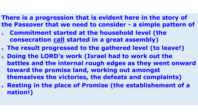#### **There is a progression that is evident here in the story of the Passover that we need to consider - a simple pattern of**

- **1. Commitment started at the household level (the consecration call started in a great assembly)**
- **2. The result progressed to the gathered level (to leave!)**
- **3. Doing the LORD's work (Israel had to work out the battles and the internal rough edges as they went onward toward the promise land, working out amongst themselves the victories, the defeats and complaints)**
- **4. Resting in the place of Promise (the establishement of a nation!)**